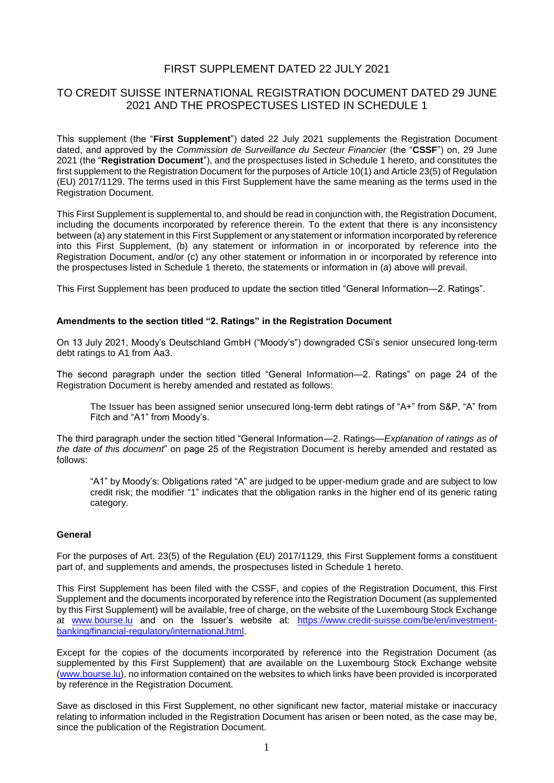## FIRST SUPPLEMENT DATED 22 JULY 2021

## TO CREDIT SUISSE INTERNATIONAL REGISTRATION DOCUMENT DATED 29 JUNE 2021 AND THE PROSPECTUSES LISTED IN SCHEDULE 1

This supplement (the "**First Supplement**") dated 22 July 2021 supplements the Registration Document dated, and approved by the *Commission de Surveillance du Secteur Financier* (the "**CSSF**") on, 29 June 2021 (the "**Registration Document**"), and the prospectuses listed in Schedule 1 hereto, and constitutes the first supplement to the Registration Document for the purposes of Article 10(1) and Article 23(5) of Regulation (EU) 2017/1129. The terms used in this First Supplement have the same meaning as the terms used in the Registration Document.

This First Supplement is supplemental to, and should be read in conjunction with, the Registration Document, including the documents incorporated by reference therein. To the extent that there is any inconsistency between (a) any statement in this First Supplement or any statement or information incorporated by reference into this First Supplement, (b) any statement or information in or incorporated by reference into the Registration Document, and/or (c) any other statement or information in or incorporated by reference into the prospectuses listed in Schedule 1 thereto, the statements or information in (a) above will prevail.

This First Supplement has been produced to update the section titled "General Information—2. Ratings".

#### **Amendments to the section titled "2. Ratings" in the Registration Document**

On 13 July 2021, Moody's Deutschland GmbH ("Moody's") downgraded CSi's senior unsecured long-term debt ratings to A1 from Aa3.

The second paragraph under the section titled "General Information—2. Ratings" on page 24 of the Registration Document is hereby amended and restated as follows:

The Issuer has been assigned senior unsecured long-term debt ratings of "A+" from S&P, "A" from Fitch and "A1" from Moody's.

The third paragraph under the section titled "General Information—2. Ratings—*Explanation of ratings as of the date of this document*" on page 25 of the Registration Document is hereby amended and restated as follows:

"A1" by Moody's: Obligations rated "A" are judged to be upper-medium grade and are subject to low credit risk; the modifier "1" indicates that the obligation ranks in the higher end of its generic rating category.

#### **General**

For the purposes of Art. 23(5) of the Regulation (EU) 2017/1129, this First Supplement forms a constituent part of, and supplements and amends, the prospectuses listed in Schedule 1 hereto.

This First Supplement has been filed with the CSSF, and copies of the Registration Document, this First Supplement and the documents incorporated by reference into the Registration Document (as supplemented by this First Supplement) will be available, free of charge, on the website of the Luxembourg Stock Exchange at [www.bourse.lu](http://www.bourse.lu/) and on the Issuer's website at: [https://www.credit-suisse.com/be/en/investment](https://www.credit-suisse.com/be/en/investment-banking/financial-regulatory/international.html)[banking/financial-regulatory/international.html.](https://www.credit-suisse.com/be/en/investment-banking/financial-regulatory/international.html)

Except for the copies of the documents incorporated by reference into the Registration Document (as supplemented by this First Supplement) that are available on the Luxembourg Stock Exchange website [\(www.bourse.lu\)](file:///C:/Users/dloud/AppData/Local/Microsoft/Windows/Temporary%20Internet%20Files/Content.Outlook/OR4TRL8A/www.bourse.lu), no information contained on the websites to which links have been provided is incorporated by reference in the Registration Document.

Save as disclosed in this First Supplement, no other significant new factor, material mistake or inaccuracy relating to information included in the Registration Document has arisen or been noted, as the case may be, since the publication of the Registration Document.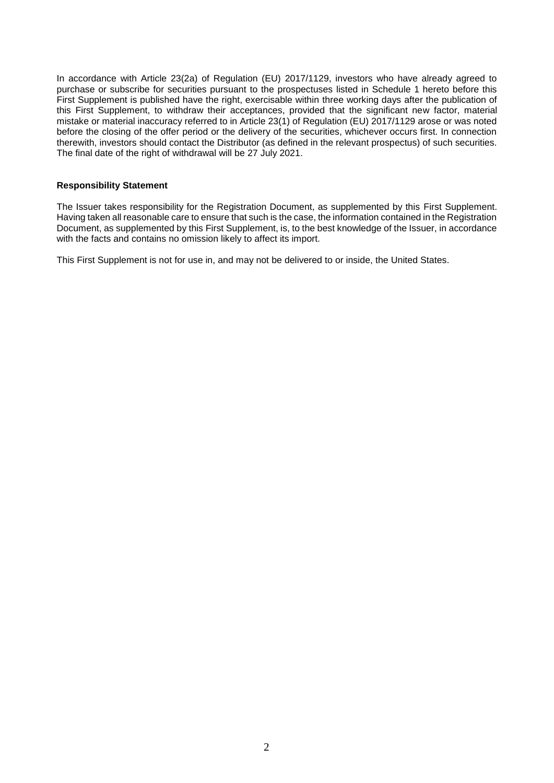In accordance with Article 23(2a) of Regulation (EU) 2017/1129, investors who have already agreed to purchase or subscribe for securities pursuant to the prospectuses listed in Schedule 1 hereto before this First Supplement is published have the right, exercisable within three working days after the publication of this First Supplement, to withdraw their acceptances, provided that the significant new factor, material mistake or material inaccuracy referred to in Article 23(1) of Regulation (EU) 2017/1129 arose or was noted before the closing of the offer period or the delivery of the securities, whichever occurs first. In connection therewith, investors should contact the Distributor (as defined in the relevant prospectus) of such securities. The final date of the right of withdrawal will be 27 July 2021.

### **Responsibility Statement**

The Issuer takes responsibility for the Registration Document, as supplemented by this First Supplement. Having taken all reasonable care to ensure that such is the case, the information contained in the Registration Document, as supplemented by this First Supplement, is, to the best knowledge of the Issuer, in accordance with the facts and contains no omission likely to affect its import.

This First Supplement is not for use in, and may not be delivered to or inside, the United States.